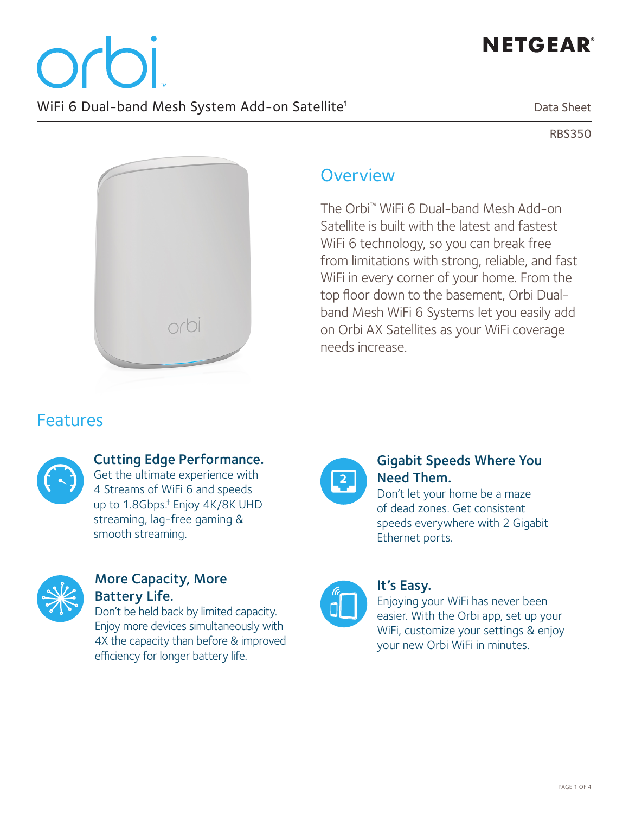

RBS350



## **Overview**

The Orbi™ WiFi 6 Dual-band Mesh Add-on Satellite is built with the latest and fastest WiFi 6 technology, so you can break free from limitations with strong, reliable, and fast WiFi in every corner of your home. From the top floor down to the basement, Orbi Dualband Mesh WiFi 6 Systems let you easily add on Orbi AX Satellites as your WiFi coverage needs increase.

## **Features**



### Cutting Edge Performance.

Get the ultimate experience with 4 Streams of WiFi 6 and speeds up to 1.8Gbps.† Enjoy 4K/8K UHD streaming, lag-free gaming & smooth streaming.



#### More Capacity, More Battery Life.

Don't be held back by limited capacity. Enjoy more devices simultaneously with 4X the capacity than before & improved efficiency for longer battery life.



#### Gigabit Speeds Where You Need Them.

Don't let your home be a maze of dead zones. Get consistent speeds everywhere with 2 Gigabit Ethernet ports.



#### It's Easy.

Enjoying your WiFi has never been easier. With the Orbi app, set up your WiFi, customize your settings & enjoy your new Orbi WiFi in minutes.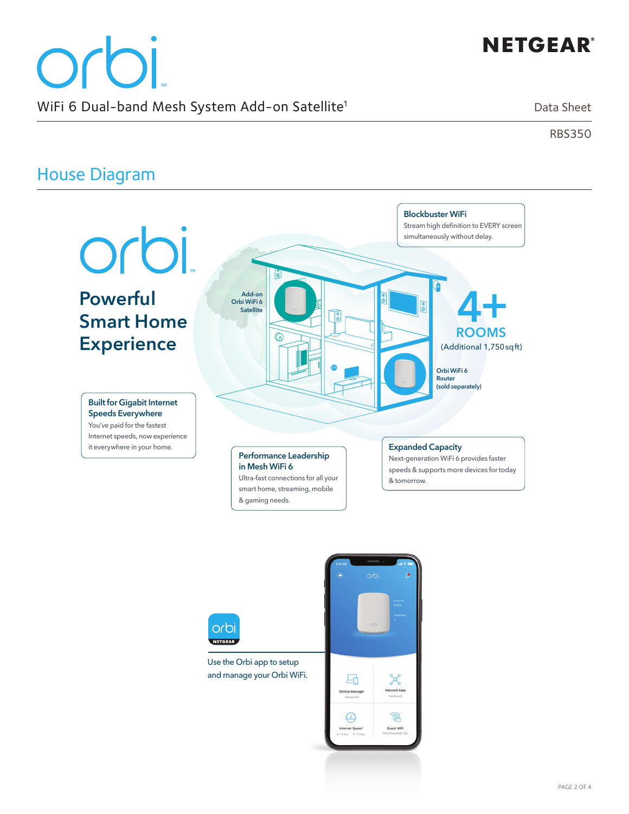# **NETGEAR®**

# orbi WiFi 6 Dual-band Mesh System Add-on Satellite<sup>1</sup>

Data Sheet

RBS350

# House Diagram



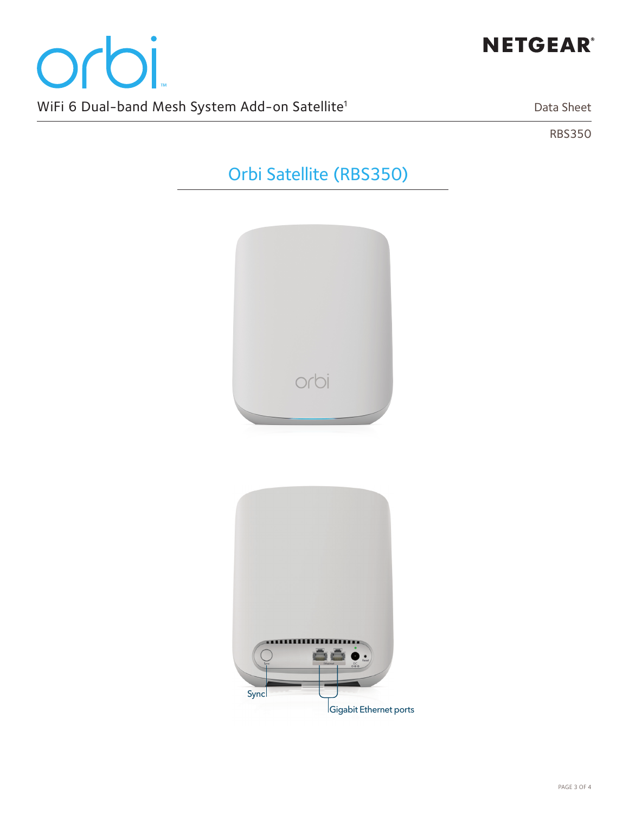

Data Sheet

RBS350

# Orbi Satellite (RBS350)